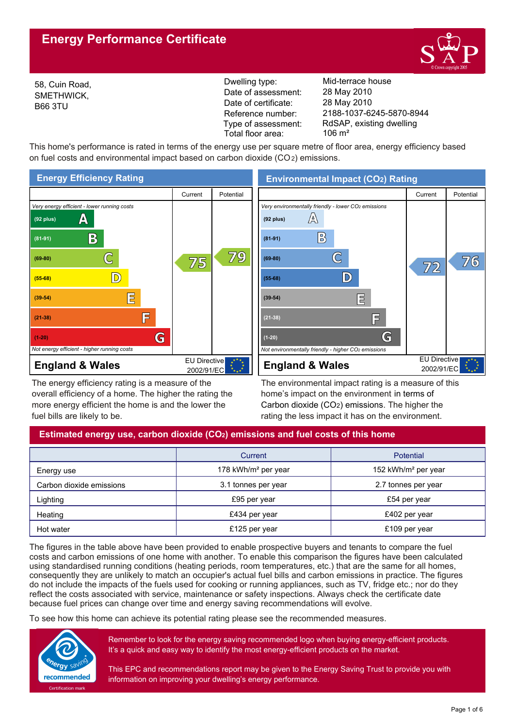# **Energy Performance Certificate**



58, Cuin Road, SMETHWICK, B66 3TU

Reference number: Dwelling type: Mid-terrace house Date of certificate: Date of assessment: Type of assessment: Total floor area: 106 m<sup>2</sup>

2188-1037-6245-5870-8944 28 May 2010 28 May 2010 RdSAP, existing dwelling

This home's performance is rated in terms of the energy use per square metre of floor area, energy efficiency based on fuel costs and environmental impact based on carbon dioxide (CO2) emissions.



The energy efficiency rating is a measure of the overall efficiency of a home. The higher the rating the more energy efficient the home is and the lower the fuel bills are likely to be.

**Environmental Impact (CO2) Rating**



The environmental impact rating is a measure of this home's impact on the environment in terms of Carbon dioxide (CO2) emissions. The higher the rating the less impact it has on the environment.

# **Estimated energy use, carbon dioxide (CO2) emissions and fuel costs of this home**

|                          | Current                         | <b>Potential</b>                |
|--------------------------|---------------------------------|---------------------------------|
| Energy use               | 178 kWh/m <sup>2</sup> per year | 152 kWh/m <sup>2</sup> per year |
| Carbon dioxide emissions | 3.1 tonnes per year             | 2.7 tonnes per year             |
| Lighting                 | £95 per year                    | £54 per year                    |
| Heating                  | £434 per year                   | £402 per year                   |
| Hot water                | £125 per year                   | £109 per year                   |

The figures in the table above have been provided to enable prospective buyers and tenants to compare the fuel costs and carbon emissions of one home with another. To enable this comparison the figures have been calculated using standardised running conditions (heating periods, room temperatures, etc.) that are the same for all homes, consequently they are unlikely to match an occupier's actual fuel bills and carbon emissions in practice. The figures do not include the impacts of the fuels used for cooking or running appliances, such as TV, fridge etc.; nor do they reflect the costs associated with service, maintenance or safety inspections. Always check the certificate date because fuel prices can change over time and energy saving recommendations will evolve.

To see how this home can achieve its potential rating please see the recommended measures.



Remember to look for the energy saving recommended logo when buying energy-efficient products. It's a quick and easy way to identify the most energy-efficient products on the market.

This EPC and recommendations report may be given to the Energy Saving Trust to provide you with information on improving your dwelling's energy performance.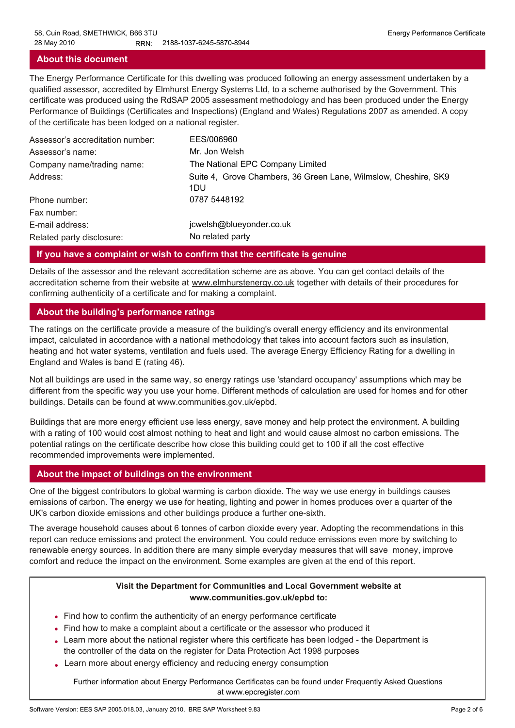## **About this document**

The Energy Performance Certificate for this dwelling was produced following an energy assessment undertaken by a qualified assessor, accredited by Elmhurst Energy Systems Ltd, to a scheme authorised by the Government. This certificate was produced using the RdSAP 2005 assessment methodology and has been produced under the Energy Performance of Buildings (Certificates and Inspections) (England and Wales) Regulations 2007 as amended. A copy of the certificate has been lodged on a national register.

| Assessor's accreditation number: | EES/006960                                                             |
|----------------------------------|------------------------------------------------------------------------|
| Assessor's name:                 | Mr. Jon Welsh                                                          |
| Company name/trading name:       | The National EPC Company Limited                                       |
| Address:                         | Suite 4, Grove Chambers, 36 Green Lane, Wilmslow, Cheshire, SK9<br>1DU |
| Phone number:                    | 0787 5448192                                                           |
| Fax number:                      |                                                                        |
| E-mail address:                  | jcwelsh@blueyonder.co.uk                                               |
| Related party disclosure:        | No related party                                                       |

#### **If you have a complaint or wish to confirm that the certificate is genuine**

Details of the assessor and the relevant accreditation scheme are as above. You can get contact details of the accreditation scheme from their website at www.elmhurstenergy.co.uk together with details of their procedures for confirming authenticity of a certificate and for making a complaint.

## **About the building's performance ratings**

The ratings on the certificate provide a measure of the building's overall energy efficiency and its environmental impact, calculated in accordance with a national methodology that takes into account factors such as insulation, heating and hot water systems, ventilation and fuels used. The average Energy Efficiency Rating for a dwelling in England and Wales is band E (rating 46).

Not all buildings are used in the same way, so energy ratings use 'standard occupancy' assumptions which may be different from the specific way you use your home. Different methods of calculation are used for homes and for other buildings. Details can be found at www.communities.gov.uk/epbd.

Buildings that are more energy efficient use less energy, save money and help protect the environment. A building with a rating of 100 would cost almost nothing to heat and light and would cause almost no carbon emissions. The potential ratings on the certificate describe how close this building could get to 100 if all the cost effective recommended improvements were implemented.

### **About the impact of buildings on the environment**

One of the biggest contributors to global warming is carbon dioxide. The way we use energy in buildings causes emissions of carbon. The energy we use for heating, lighting and power in homes produces over a quarter of the UK's carbon dioxide emissions and other buildings produce a further one-sixth.

The average household causes about 6 tonnes of carbon dioxide every year. Adopting the recommendations in this report can reduce emissions and protect the environment. You could reduce emissions even more by switching to renewable energy sources. In addition there are many simple everyday measures that will save money, improve comfort and reduce the impact on the environment. Some examples are given at the end of this report.

## **Visit the Department for Communities and Local Government website at www.communities.gov.uk/epbd to:**

- Find how to confirm the authenticity of an energy performance certificate •
- Find how to make a complaint about a certificate or the assessor who produced it •
- Learn more about the national register where this certificate has been lodged the Department is the controller of the data on the register for Data Protection Act 1998 purposes
- Learn more about energy efficiency and reducing energy consumption •

Further information about Energy Performance Certificates can be found under Frequently Asked Questions at www.epcregister.com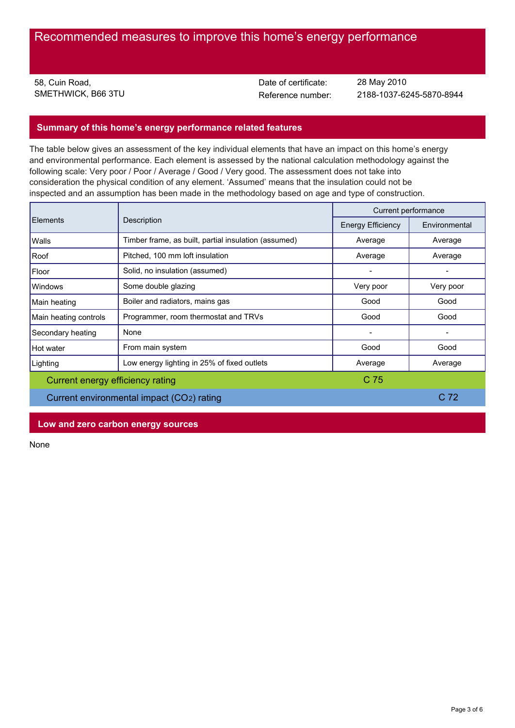58, Cuin Road, SMETHWICK, B66 3TU Date of certificate:

Reference number: 2188-1037-6245-5870-8944 28 May 2010

# **Summary of this home's energy performance related features**

The table below gives an assessment of the key individual elements that have an impact on this home's energy and environmental performance. Each element is assessed by the national calculation methodology against the following scale: Very poor / Poor / Average / Good / Very good. The assessment does not take into consideration the physical condition of any element. 'Assumed' means that the insulation could not be inspected and an assumption has been made in the methodology based on age and type of construction.

|                                          | Description                                          | Current performance          |                 |
|------------------------------------------|------------------------------------------------------|------------------------------|-----------------|
| Elements                                 |                                                      | <b>Energy Efficiency</b>     | Environmental   |
| <b>Walls</b>                             | Timber frame, as built, partial insulation (assumed) | Average                      | Average         |
| Roof                                     | Pitched, 100 mm loft insulation                      | Average                      | Average         |
| Floor                                    | Solid, no insulation (assumed)                       |                              |                 |
| <b>Windows</b>                           | Some double glazing                                  | Very poor                    | Very poor       |
| Main heating                             | Boiler and radiators, mains gas                      | Good                         | Good            |
| Main heating controls                    | Programmer, room thermostat and TRVs                 | Good                         | Good            |
| Secondary heating                        | None                                                 | $\qquad \qquad \blacksquare$ |                 |
| Hot water                                | From main system                                     | Good                         | Good            |
| Lighting                                 | Low energy lighting in 25% of fixed outlets          | Average                      | Average         |
| C 75<br>Current energy efficiency rating |                                                      |                              |                 |
|                                          | Current environmental impact (CO2) rating            |                              | C <sub>72</sub> |

## **Low and zero carbon energy sources**

None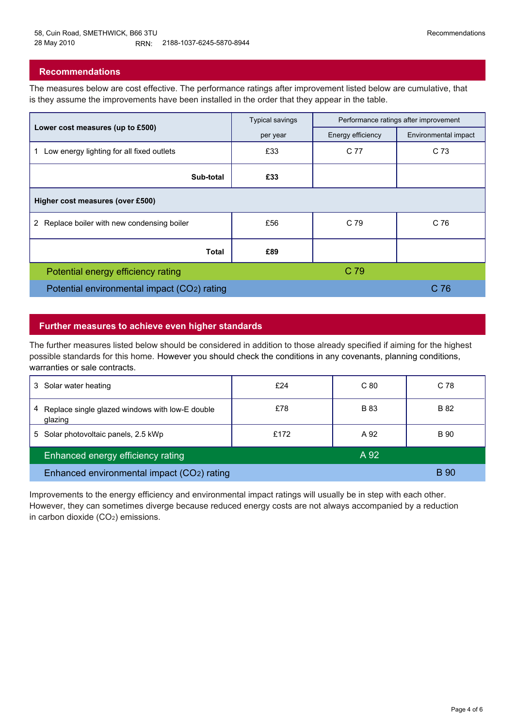# **Recommendations**

The measures below are cost effective. The performance ratings after improvement listed below are cumulative, that is they assume the improvements have been installed in the order that they appear in the table.

|                                             | <b>Typical savings</b> | Performance ratings after improvement |                      |
|---------------------------------------------|------------------------|---------------------------------------|----------------------|
| Lower cost measures (up to £500)            | per year               | Energy efficiency                     | Environmental impact |
| Low energy lighting for all fixed outlets   | £33                    | C 77                                  | C 73                 |
| Sub-total                                   | £33                    |                                       |                      |
| Higher cost measures (over £500)            |                        |                                       |                      |
| 2 Replace boiler with new condensing boiler | £56                    | C 79                                  | C 76                 |
| <b>Total</b>                                | £89                    |                                       |                      |
| Potential energy efficiency rating          |                        | C 79                                  |                      |
| Potential environmental impact (CO2) rating |                        |                                       | C <sub>76</sub>      |

## **Further measures to achieve even higher standards**

The further measures listed below should be considered in addition to those already specified if aiming for the highest possible standards for this home. However you should check the conditions in any covenants, planning conditions, warranties or sale contracts.

| 3 Solar water heating                                        | £24  | C80         | C 78        |
|--------------------------------------------------------------|------|-------------|-------------|
| 4 Replace single glazed windows with low-E double<br>glazing | £78  | <b>B</b> 83 | B 82        |
| 5 Solar photovoltaic panels, 2.5 kWp                         | £172 | A 92        | <b>B</b> 90 |
| Enhanced energy efficiency rating                            |      | A 92        |             |
| Enhanced environmental impact (CO2) rating                   |      |             | <b>B</b> 90 |

Improvements to the energy efficiency and environmental impact ratings will usually be in step with each other. However, they can sometimes diverge because reduced energy costs are not always accompanied by a reduction in carbon dioxide (CO2) emissions.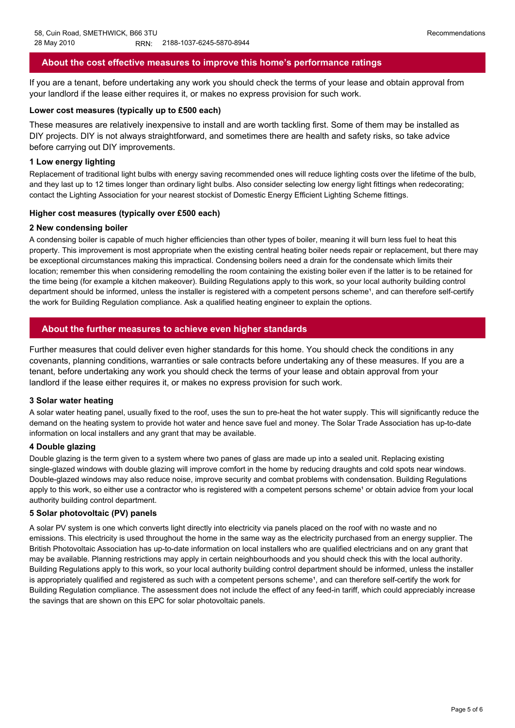If you are a tenant, before undertaking any work you should check the terms of your lease and obtain approval from your landlord if the lease either requires it, or makes no express provision for such work.

### **Lower cost measures (typically up to £500 each)**

These measures are relatively inexpensive to install and are worth tackling first. Some of them may be installed as DIY projects. DIY is not always straightforward, and sometimes there are health and safety risks, so take advice before carrying out DIY improvements.

## **1 Low energy lighting**

Replacement of traditional light bulbs with energy saving recommended ones will reduce lighting costs over the lifetime of the bulb, and they last up to 12 times longer than ordinary light bulbs. Also consider selecting low energy light fittings when redecorating; contact the Lighting Association for your nearest stockist of Domestic Energy Efficient Lighting Scheme fittings.

## **Higher cost measures (typically over £500 each)**

#### **2 New condensing boiler**

A condensing boiler is capable of much higher efficiencies than other types of boiler, meaning it will burn less fuel to heat this property. This improvement is most appropriate when the existing central heating boiler needs repair or replacement, but there may be exceptional circumstances making this impractical. Condensing boilers need a drain for the condensate which limits their location; remember this when considering remodelling the room containing the existing boiler even if the latter is to be retained for the time being (for example a kitchen makeover). Building Regulations apply to this work, so your local authority building control department should be informed, unless the installer is registered with a competent persons scheme<sup>1</sup>, and can therefore self-certify the work for Building Regulation compliance. Ask a qualified heating engineer to explain the options.

# **About the further measures to achieve even higher standards**

Further measures that could deliver even higher standards for this home. You should check the conditions in any covenants, planning conditions, warranties or sale contracts before undertaking any of these measures. If you are a tenant, before undertaking any work you should check the terms of your lease and obtain approval from your landlord if the lease either requires it, or makes no express provision for such work.

#### **3 Solar water heating**

A solar water heating panel, usually fixed to the roof, uses the sun to pre-heat the hot water supply. This will significantly reduce the demand on the heating system to provide hot water and hence save fuel and money. The Solar Trade Association has up-to-date information on local installers and any grant that may be available.

## **4 Double glazing**

Double glazing is the term given to a system where two panes of glass are made up into a sealed unit. Replacing existing single-glazed windows with double glazing will improve comfort in the home by reducing draughts and cold spots near windows. Double-glazed windows may also reduce noise, improve security and combat problems with condensation. Building Regulations apply to this work, so either use a contractor who is registered with a competent persons scheme<sup>1</sup> or obtain advice from your local authority building control department.

#### **5 Solar photovoltaic (PV) panels**

A solar PV system is one which converts light directly into electricity via panels placed on the roof with no waste and no emissions. This electricity is used throughout the home in the same way as the electricity purchased from an energy supplier. The British Photovoltaic Association has up-to-date information on local installers who are qualified electricians and on any grant that may be available. Planning restrictions may apply in certain neighbourhoods and you should check this with the local authority. Building Regulations apply to this work, so your local authority building control department should be informed, unless the installer is appropriately qualified and registered as such with a competent persons scheme<sup>1</sup>, and can therefore self-certify the work for Building Regulation compliance. The assessment does not include the effect of any feed-in tariff, which could appreciably increase the savings that are shown on this EPC for solar photovoltaic panels.